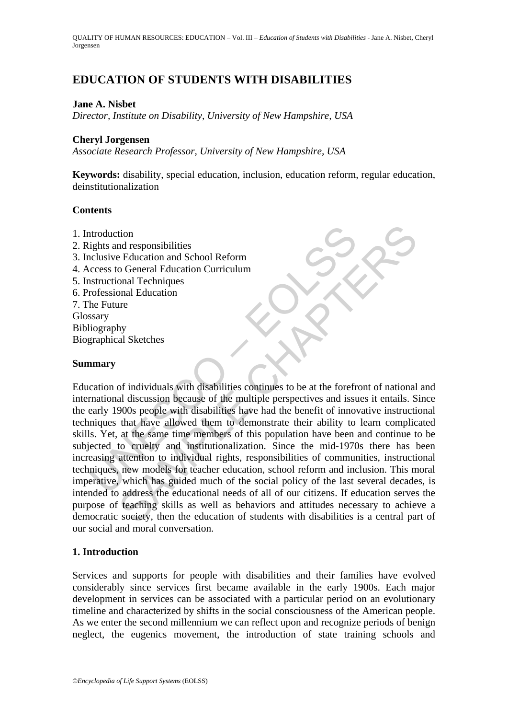# **EDUCATION OF STUDENTS WITH DISABILITIES**

#### **Jane A. Nisbet**

*Director, Institute on Disability, University of New Hampshire, USA* 

#### **Cheryl Jorgensen**

*Associate Research Professor, University of New Hampshire, USA* 

**Keywords:** disability, special education, inclusion, education reform, regular education, deinstitutionalization

#### **Contents**

- 1. Introduction
- 2. Rights and responsibilities
- 3. Inclusive Education and School Reform
- 4. Access to General Education Curriculum
- 5. Instructional Techniques
- 6. Professional Education
- 7. The Future Glossary Bibliography Biographical Sketches

## **Summary**

ntroduction<br>
ights and responsibilities<br>
nclusive Education and School Reform<br>
crocess to General Education Curriculum<br>
structional Techniques<br>
for foresional Education<br>
he Future<br>
stary<br>
stary<br>
stary<br>
in a mary<br>
stary<br>
in tion<br>
Education and School Reform<br>
Education and School Reform<br>
Education Curriculum<br>
onal Techniques<br>
oral Education<br>
oral Education<br>
oral Education<br>
oral Education<br>
oral Education<br>
oral Education<br>
oral Education<br>
oral Ed Education of individuals with disabilities continues to be at the forefront of national and international discussion because of the multiple perspectives and issues it entails. Since the early 1900s people with disabilities have had the benefit of innovative instructional techniques that have allowed them to demonstrate their ability to learn complicated skills. Yet, at the same time members of this population have been and continue to be subjected to cruelty and institutionalization. Since the mid-1970s there has been increasing attention to individual rights, responsibilities of communities, instructional techniques, new models for teacher education, school reform and inclusion. This moral imperative, which has guided much of the social policy of the last several decades, is intended to address the educational needs of all of our citizens. If education serves the purpose of teaching skills as well as behaviors and attitudes necessary to achieve a democratic society, then the education of students with disabilities is a central part of our social and moral conversation.

## **1. Introduction**

Services and supports for people with disabilities and their families have evolved considerably since services first became available in the early 1900s. Each major development in services can be associated with a particular period on an evolutionary timeline and characterized by shifts in the social consciousness of the American people. As we enter the second millennium we can reflect upon and recognize periods of benign neglect, the eugenics movement, the introduction of state training schools and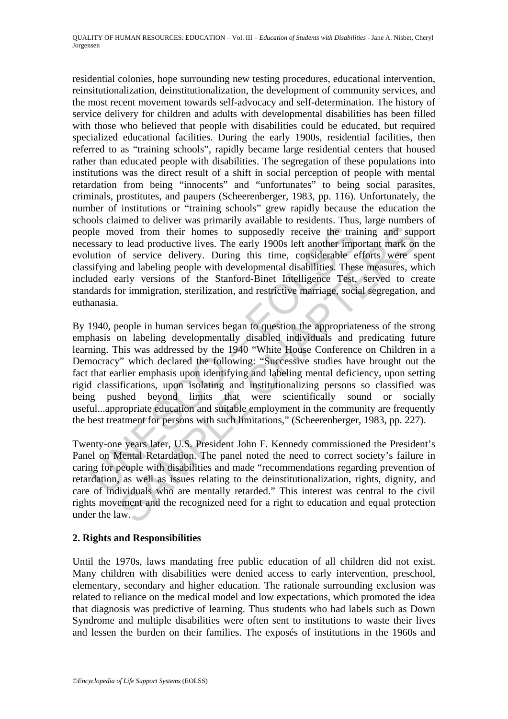residential colonies, hope surrounding new testing procedures, educational intervention, reinsitutionalization, deinstitutionalization, the development of community services, and the most recent movement towards self-advocacy and self-determination. The history of service delivery for children and adults with developmental disabilities has been filled with those who believed that people with disabilities could be educated, but required specialized educational facilities. During the early 1900s, residential facilities, then referred to as "training schools", rapidly became large residential centers that housed rather than educated people with disabilities. The segregation of these populations into institutions was the direct result of a shift in social perception of people with mental retardation from being "innocents" and "unfortunates" to being social parasites, criminals, prostitutes, and paupers (Scheerenberger, 1983, pp. 116). Unfortunately, the number of institutions or "training schools" grew rapidly because the education the schools claimed to deliver was primarily available to residents. Thus, large numbers of people moved from their homes to supposedly receive the training and support necessary to lead productive lives. The early 1900s left another important mark on the evolution of service delivery. During this time, considerable efforts were spent classifying and labeling people with developmental disabilities. These measures, which included early versions of the Stanford-Binet Intelligence Test, served to create standards for immigration, sterilization, and restrictive marriage, social segregation, and euthanasia.

ple moved from their homes to supposedly receive the train<br>sesary to lead productive lives. The early 1900s left another implution of service delivery. During this time, considerable e<br>sifying and labeling people with deve woved from their homes to supposedly receive the training and sup<br>o lead productive lives. The early 1900s left another important mark on<br>o f service delivery. During this time, considerable efforts were s<br>and labeling pro By 1940, people in human services began to question the appropriateness of the strong emphasis on labeling developmentally disabled individuals and predicating future learning. This was addressed by the 1940 "White House Conference on Children in a Democracy" which declared the following: "Successive studies have brought out the fact that earlier emphasis upon identifying and labeling mental deficiency, upon setting rigid classifications, upon isolating and institutionalizing persons so classified was being pushed beyond limits that were scientifically sound or socially useful...appropriate education and suitable employment in the community are frequently the best treatment for persons with such limitations," (Scheerenberger, 1983, pp. 227).

Twenty-one years later, U.S. President John F. Kennedy commissioned the President's Panel on Mental Retardation. The panel noted the need to correct society's failure in caring for people with disabilities and made "recommendations regarding prevention of retardation, as well as issues relating to the deinstitutionalization, rights, dignity, and care of individuals who are mentally retarded." This interest was central to the civil rights movement and the recognized need for a right to education and equal protection under the law.

## **2. Rights and Responsibilities**

Until the 1970s, laws mandating free public education of all children did not exist. Many children with disabilities were denied access to early intervention, preschool, elementary, secondary and higher education. The rationale surrounding exclusion was related to reliance on the medical model and low expectations, which promoted the idea that diagnosis was predictive of learning. Thus students who had labels such as Down Syndrome and multiple disabilities were often sent to institutions to waste their lives and lessen the burden on their families. The exposés of institutions in the 1960s and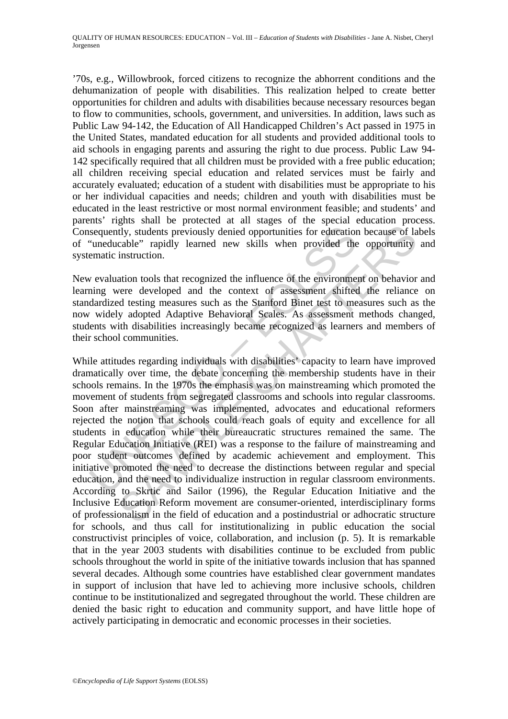'70s, e.g., Willowbrook, forced citizens to recognize the abhorrent conditions and the dehumanization of people with disabilities. This realization helped to create better opportunities for children and adults with disabilities because necessary resources began to flow to communities, schools, government, and universities. In addition, laws such as Public Law 94-142, the Education of All Handicapped Children's Act passed in 1975 in the United States, mandated education for all students and provided additional tools to aid schools in engaging parents and assuring the right to due process. Public Law 94- 142 specifically required that all children must be provided with a free public education; all children receiving special education and related services must be fairly and accurately evaluated; education of a student with disabilities must be appropriate to his or her individual capacities and needs; children and youth with disabilities must be educated in the least restrictive or most normal environment feasible; and students' and parents' rights shall be protected at all stages of the special education process. Consequently, students previously denied opportunities for education because of labels of "uneducable" rapidly learned new skills when provided the opportunity and systematic instruction.

New evaluation tools that recognized the influence of the environment on behavior and learning were developed and the context of assessment shifted the reliance on standardized testing measures such as the Stanford Binet test to measures such as the now widely adopted Adaptive Behavioral Scales. As assessment methods changed, students with disabilities increasingly became recognized as learners and members of their school communities.

sequently, students previously denied opportunities for educatior<br>
"uneducable" rapidly learned new skills when provided the<br>
ematic instruction.<br>
v evaluation tools that recognized the influence of the environme<br>
ing were Ety, students previously denied opportunities for education because of lacable" rapidly learned new skills when provided the opportunity instruction.<br>
ation tools that recognized the influence of the environment on behavio While attitudes regarding individuals with disabilities' capacity to learn have improved dramatically over time, the debate concerning the membership students have in their schools remains. In the 1970s the emphasis was on mainstreaming which promoted the movement of students from segregated classrooms and schools into regular classrooms. Soon after mainstreaming was implemented, advocates and educational reformers rejected the notion that schools could reach goals of equity and excellence for all students in education while their bureaucratic structures remained the same. The Regular Education Initiative (REI) was a response to the failure of mainstreaming and poor student outcomes defined by academic achievement and employment. This initiative promoted the need to decrease the distinctions between regular and special education, and the need to individualize instruction in regular classroom environments. According to Skrtic and Sailor (1996), the Regular Education Initiative and the Inclusive Education Reform movement are consumer-oriented, interdisciplinary forms of professionalism in the field of education and a postindustrial or adhocratic structure for schools, and thus call for institutionalizing in public education the social constructivist principles of voice, collaboration, and inclusion (p. 5). It is remarkable that in the year 2003 students with disabilities continue to be excluded from public schools throughout the world in spite of the initiative towards inclusion that has spanned several decades. Although some countries have established clear government mandates in support of inclusion that have led to achieving more inclusive schools, children continue to be institutionalized and segregated throughout the world. These children are denied the basic right to education and community support, and have little hope of actively participating in democratic and economic processes in their societies.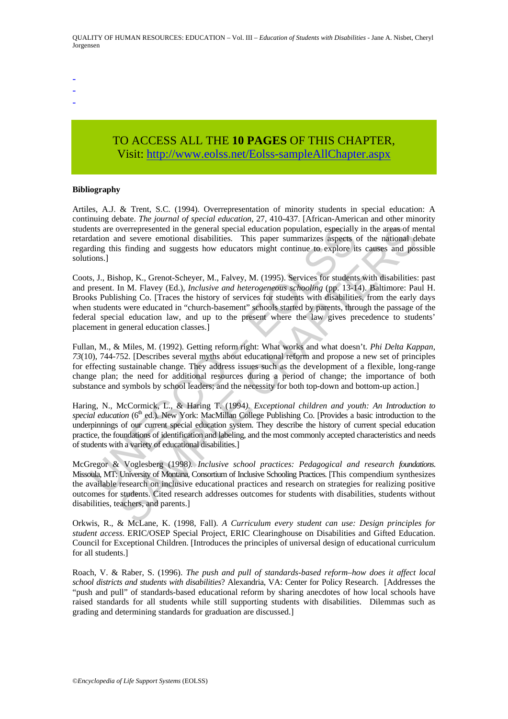- -
- -
- -

# TO ACCESS ALL THE **10 PAGES** OF THIS CHAPTER, Visit[: http://www.eolss.net/Eolss-sampleAllChapter.aspx](https://www.eolss.net/ebooklib/sc_cart.aspx?File=E1-12-05-04)

#### **Bibliography**

Artiles, A.J. & Trent, S.C. (1994). Overrepresentation of minority students in special education: A continuing debate. *The journal of special education*, 27, 410-437. [African-American and other minority students are overrepresented in the general special education population, especially in the areas of mental retardation and severe emotional disabilities. This paper summarizes aspects of the national debate regarding this finding and suggests how educators might continue to explore its causes and possible solutions.]

entis are overrepresented in the general special education population, especially<br>dation and severe emotional disabilities. This paper summarizes aspects of<br>dig this finding and suggests how educators might continue to exp overrepresented in the general special education population, especially in the areas of m<br>a sive encontonal disabilities. This paper summarizes aspects of the national<br>disabilities and specially in Such and positive in Sim Coots, J., Bishop, K., Grenot-Scheyer, M., Falvey, M. (1995). Services for students with disabilities: past and present. In M. Flavey (Ed.), *Inclusive and heterogeneous schooling* (pp. 13-14). Baltimore: Paul H. Brooks Publishing Co. [Traces the history of services for students with disabilities, from the early days when students were educated in "church-basement" schools started by parents, through the passage of the federal special education law, and up to the present where the law gives precedence to students' placement in general education classes.]

Fullan, M., & Miles, M. (1992). Getting reform right: What works and what doesn't*. Phi Delta Kappan*, *73*(10), 744-752. [Describes several myths about educational reform and propose a new set of principles for effecting sustainable change. They address issues such as the development of a flexible, long-range change plan; the need for additional resources during a period of change; the importance of both substance and symbols by school leaders; and the necessity for both top-down and bottom-up action.]

Haring, N., McCormick, L., & Haring T. (1994*). Exceptional children and youth: An Introduction to special education* (6<sup>th</sup> ed.). New York: MacMillan College Publishing Co. [Provides a basic introduction to the underpinnings of our current special education system. They describe the history of current special education practice, the foundations of identification and labeling, and the most commonly accepted characteristics and needs of students with a variety of educational disabilities.]

McGregor & Voglesberg (1998*). Inclusive school practices: Pedagogical and research foundations*. Missoula, MT: University of Montana, Consortium of Inclusive Schooling Practices. [This compendium synthesizes the available research on inclusive educational practices and research on strategies for realizing positive outcomes for students. Cited research addresses outcomes for students with disabilities, students without disabilities, teachers, and parents.]

Orkwis, R., & McLane, K. (1998, Fall). *A Curriculum every student can use: Design principles for student access*. ERIC/OSEP Special Project, ERIC Clearinghouse on Disabilities and Gifted Education. Council for Exceptional Children. [Introduces the principles of universal design of educational curriculum for all students.]

Roach, V. & Raber, S. (1996). *The push and pull of standards-based reform–how does it affect local school districts and students with disabilities*? Alexandria, VA: Center for Policy Research. [Addresses the "push and pull" of standards-based educational reform by sharing anecdotes of how local schools have raised standards for all students while still supporting students with disabilities. Dilemmas such as grading and determining standards for graduation are discussed.]